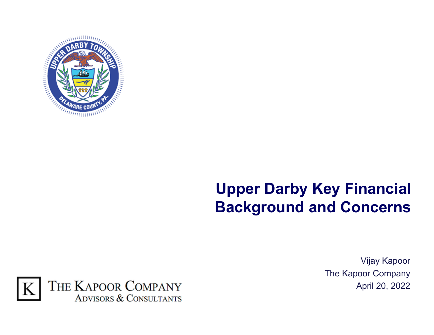

## **Upper Darby Key Financial Background and Concerns**



Vijay Kapoor The Kapoor Company April 20, 2022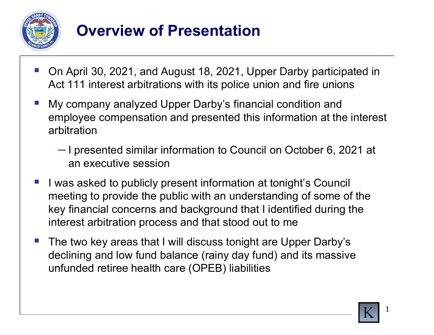

# **Overview of Presentation**

- P) On April 30, 2021, and August 18, 2021, Upper Darby participated in Act 111 interest arbitrations with its police union and fire unions
- P) My company analyzed Upper Darby's financial condition and employee compensation and presented this information at the interest arbitration
	- I presented similar information to Council on October 6, 2021 at an executive session
- P) I was asked to publicly present information at tonight's Council meeting to provide the public with an understanding of some of the key financial concerns and background that I identified during the interest arbitration process and that stood out to me
- P) The two key areas that I will discuss tonight are Upper Darby's declining and low fund balance (rainy day fund) and its massive unfunded retiree health care (OPEB) liabilities



**1**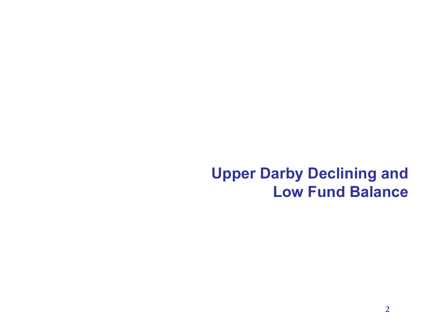#### **Upper Darby Declining and Low Fund Balance**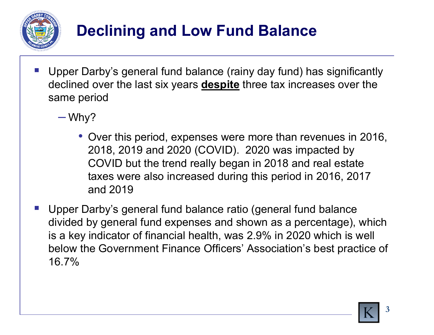

# **Declining and Low Fund Balance**

- P) Upper Darby's general fund balance (rainy day fund) has significantly declined over the last six years **despite** three tax increases over the same period
	- Why?
		- Over this period, expenses were more than revenues in 2016, 2018, 2019 and 2020 (COVID). 2020 was impacted by COVID but the trend really began in 2018 and real estate taxes were also increased during this period in 2016, 2017 and 2019
- P) Upper Darby's general fund balance ratio (general fund balance divided by general fund expenses and shown as a percentage), which is a key indicator of financial health, was 2.9% in 2020 which is well below the Government Finance Officers' Association's best practice of 16.7%

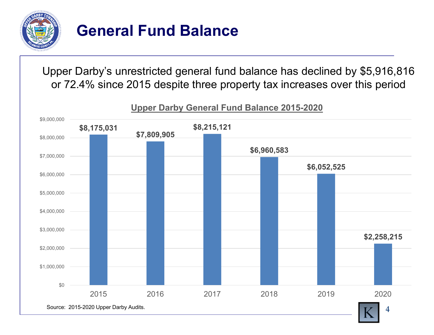

## **General Fund Balance**

Upper Darby's unrestricted general fund balance has declined by \$5,916,816 or 72.4% since 2015 despite three property tax increases over this period



#### **Upper Darby General Fund Balance 2015-2020**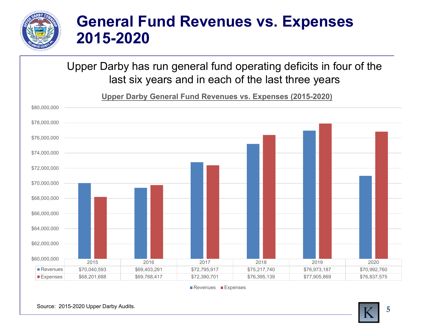

#### **General Fund Revenues vs. Expenses 2015-2020**

Upper Darby has run general fund operating deficits in four of the last six years and in each of the last three years

**Upper Darby General Fund Revenues vs. Expenses (2015-2020)**



Revenues ■Expenses

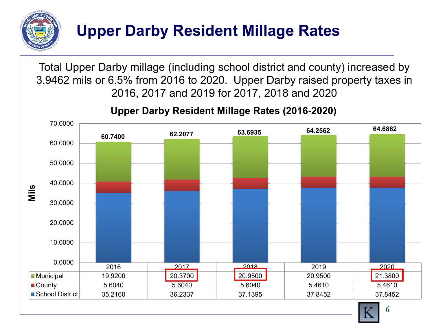

Total Upper Darby millage (including school district and county) increased by 3.9462 mils or 6.5% from 2016 to 2020. Upper Darby raised property taxes in 2016, 2017 and 2019 for 2017, 2018 and 2020



#### **Upper Darby Resident Millage Rates (2016-2020)**

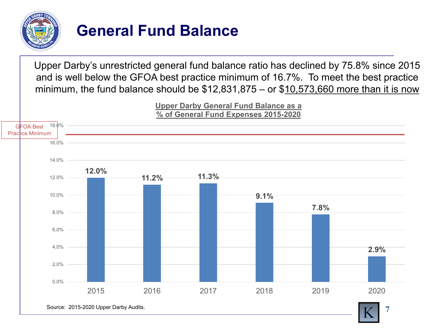

## **General Fund Balance**

Upper Darby's unrestricted general fund balance ratio has declined by 75.8% since 2015 and is well below the GFOA best practice minimum of 16.7%. To meet the best practice minimum, the fund balance should be \$12,831,875 – or \$10,573,660 more than it is now

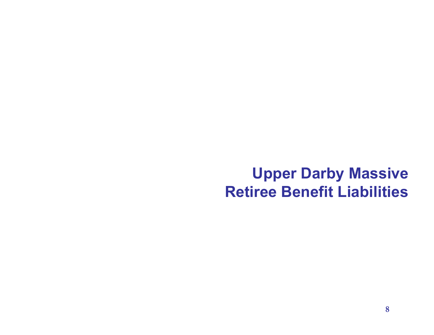#### **Upper Darby Massive Retiree Benefit Liabilities**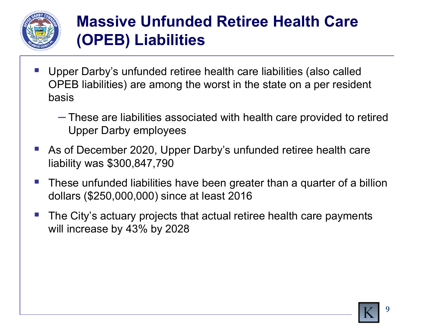

# **Massive Unfunded Retiree Health Care (OPEB) Liabilities**

- P) Upper Darby's unfunded retiree health care liabilities (also called OPEB liabilities) are among the worst in the state on a per resident basis
	- These are liabilities associated with health care provided to retired Upper Darby employees
- P) As of December 2020, Upper Darby's unfunded retiree health care liability was \$300,847,790
- $\mathcal{L}_{\mathcal{A}}$  These unfunded liabilities have been greater than a quarter of a billion dollars (\$250,000,000) since at least 2016
- P) The City's actuary projects that actual retiree health care payments will increase by 43% by 2028

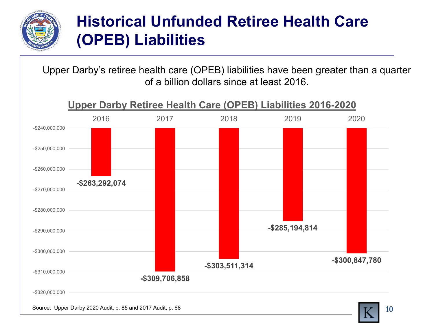

# **Historical Unfunded Retiree Health Care(OPEB) Liabilities**

Upper Darby's retiree health care (OPEB) liabilities have been greater than a quarter of a billion dollars since at least 2016.

Source: Upper Darby 2020 Audit, p. 85 and 2017 Audit, p. 68 **-\$263,292,074 -\$309,706,858 -\$303,511,314 -\$285,194,814 -\$300,847,780** -\$320,000,000 -\$310,000,000 -\$300,000,000 -\$290,000,000 -\$280,000,000 -\$270,000,000 -\$260,000,000 -\$250,000,000 -\$240,000,000 2016 2017 2018 2019 2020**Upper Darby Retiree Health Care (OPEB) Liabilities 2016-2020**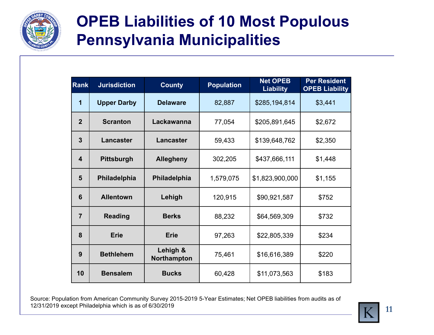

## **OPEB Liabilities of 10 Most Populous Pennsylvania Municipalities**

| <b>Rank</b>             | <b>Jurisdiction</b> | <b>County</b>           | <b>Population</b> | <b>Net OPEB</b><br><b>Liability</b> | <b>Per Resident</b><br><b>OPEB Liability</b> |
|-------------------------|---------------------|-------------------------|-------------------|-------------------------------------|----------------------------------------------|
| $\overline{\mathbf{1}}$ | <b>Upper Darby</b>  | <b>Delaware</b>         | 82,887            | \$285,194,814                       | \$3,441                                      |
| $\overline{2}$          | <b>Scranton</b>     | Lackawanna              | 77,054            | \$205,891,645                       | \$2,672                                      |
| $\overline{3}$          | <b>Lancaster</b>    | Lancaster               | 59,433            | \$139,648,762                       | \$2,350                                      |
| $\overline{\mathbf{4}}$ | <b>Pittsburgh</b>   | <b>Allegheny</b>        | 302,205           | \$437,666,111                       | \$1,448                                      |
| 5                       | Philadelphia        | Philadelphia            | 1,579,075         | \$1,823,900,000                     | \$1,155                                      |
| 6                       | <b>Allentown</b>    | Lehigh                  | 120,915           | \$90,921,587                        | \$752                                        |
| $\overline{7}$          | <b>Reading</b>      | <b>Berks</b>            | 88,232            | \$64,569,309                        | \$732                                        |
| 8                       | <b>Erie</b>         | <b>Erie</b>             | 97,263            | \$22,805,339                        | \$234                                        |
| 9                       | <b>Bethlehem</b>    | Lehigh &<br>Northampton | 75,461            | \$16,616,389                        | \$220                                        |
| 10                      | <b>Bensalem</b>     | <b>Bucks</b>            | 60,428            | \$11,073,563                        | \$183                                        |

Source: Population from American Community Survey 2015-2019 5-Year Estimates; Net OPEB liabilities from audits as of 12/31/2019 except Philadelphia which is as of 6/30/2019



**11**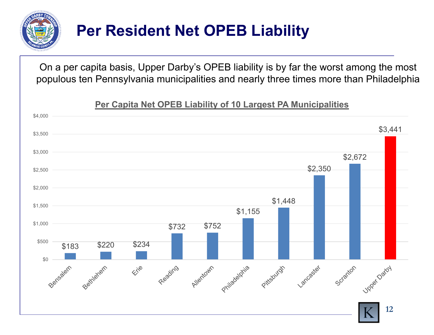

# **Per Resident Net OPEB Liability**

On a per capita basis, Upper Darby's OPEB liability is by far the worst among the most populous ten Pennsylvania municipalities and nearly three times more than Philadelphia

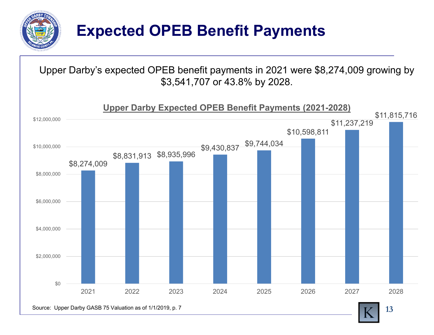

## **Expected OPEB Benefit Payments**

Upper Darby's expected OPEB benefit payments in 2021 were \$8,274,009 growing by \$3,541,707 or 43.8% by 2028.